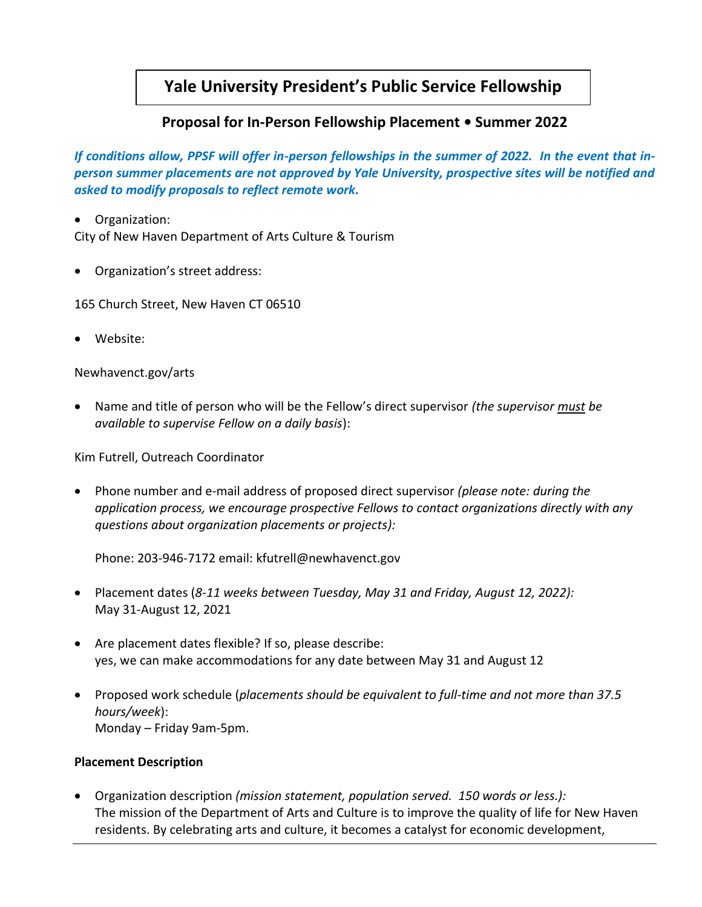## **Yale University President's Public Service Fellowship**

## **Proposal for In-Person Fellowship Placement • Summer 2022**

*If conditions allow, PPSF will offer in-person fellowships in the summer of 2022. In the event that inperson summer placements are not approved by Yale University, prospective sites will be notified and asked to modify proposals to reflect remote work.*

• Organization: City of New Haven Department of Arts Culture & Tourism

• Organization's street address:

165 Church Street, New Haven CT 06510

• Website:

Newhavenct.gov/arts

• Name and title of person who will be the Fellow's direct supervisor *(the supervisor must be available to supervise Fellow on a daily basis*):

Kim Futrell, Outreach Coordinator

• Phone number and e-mail address of proposed direct supervisor *(please note: during the application process, we encourage prospective Fellows to contact organizations directly with any questions about organization placements or projects):*

Phone: 203-946-7172 email: kfutrell@newhavenct.gov

- Placement dates (*8-11 weeks between Tuesday, May 31 and Friday, August 12, 2022):* May 31-August 12, 2021
- Are placement dates flexible? If so, please describe: yes, we can make accommodations for any date between May 31 and August 12
- Proposed work schedule (*placements should be equivalent to full-time and not more than 37.5 hours/week*): Monday – Friday 9am-5pm.

## **Placement Description**

• Organization description *(mission statement, population served. 150 words or less.):*  The mission of the Department of Arts and Culture is to improve the quality of life for New Haven residents. By celebrating arts and culture, it becomes a catalyst for economic development,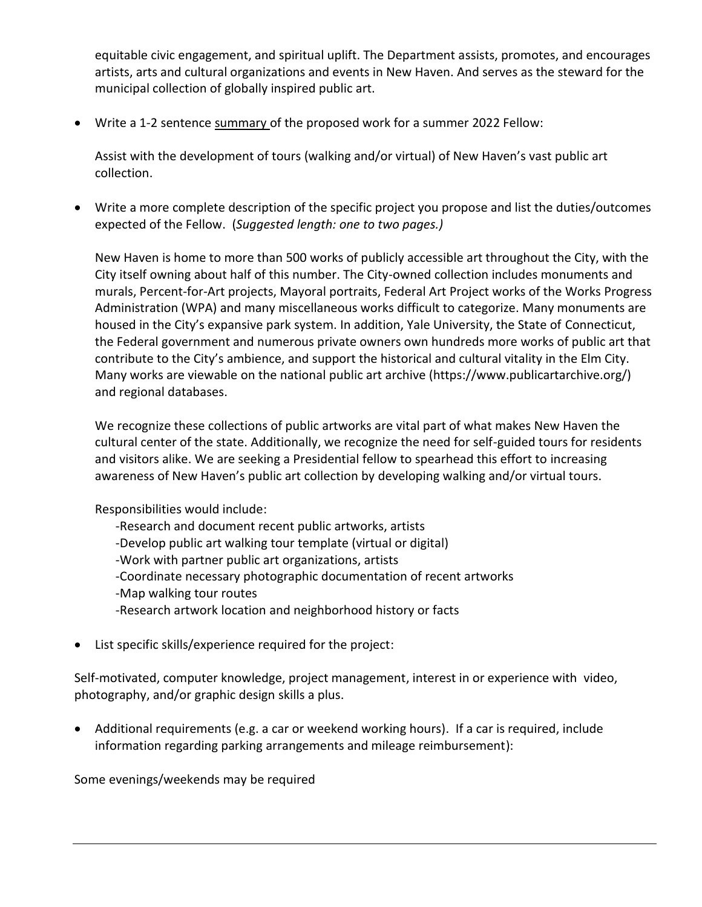equitable civic engagement, and spiritual uplift. The Department assists, promotes, and encourages artists, arts and cultural organizations and events in New Haven. And serves as the steward for the municipal collection of globally inspired public art.

• Write a 1-2 sentence summary of the proposed work for a summer 2022 Fellow:

Assist with the development of tours (walking and/or virtual) of New Haven's vast public art collection.

• Write a more complete description of the specific project you propose and list the duties/outcomes expected of the Fellow. (*Suggested length: one to two pages.)*

New Haven is home to more than 500 works of publicly accessible art throughout the City, with the City itself owning about half of this number. The City-owned collection includes monuments and murals, Percent-for-Art projects, Mayoral portraits, Federal Art Project works of the Works Progress Administration (WPA) and many miscellaneous works difficult to categorize. Many monuments are housed in the City's expansive park system. In addition, Yale University, the State of Connecticut, the Federal government and numerous private owners own hundreds more works of public art that contribute to the City's ambience, and support the historical and cultural vitality in the Elm City. Many works are viewable on the national public art archive (https://www.publicartarchive.org/) and regional databases.

We recognize these collections of public artworks are vital part of what makes New Haven the cultural center of the state. Additionally, we recognize the need for self-guided tours for residents and visitors alike. We are seeking a Presidential fellow to spearhead this effort to increasing awareness of New Haven's public art collection by developing walking and/or virtual tours.

Responsibilities would include:

- -Research and document recent public artworks, artists
- -Develop public art walking tour template (virtual or digital)
- -Work with partner public art organizations, artists
- -Coordinate necessary photographic documentation of recent artworks
- -Map walking tour routes
- -Research artwork location and neighborhood history or facts
- List specific skills/experience required for the project:

Self-motivated, computer knowledge, project management, interest in or experience with video, photography, and/or graphic design skills a plus.

• Additional requirements (e.g. a car or weekend working hours). If a car is required, include information regarding parking arrangements and mileage reimbursement):

Some evenings/weekends may be required